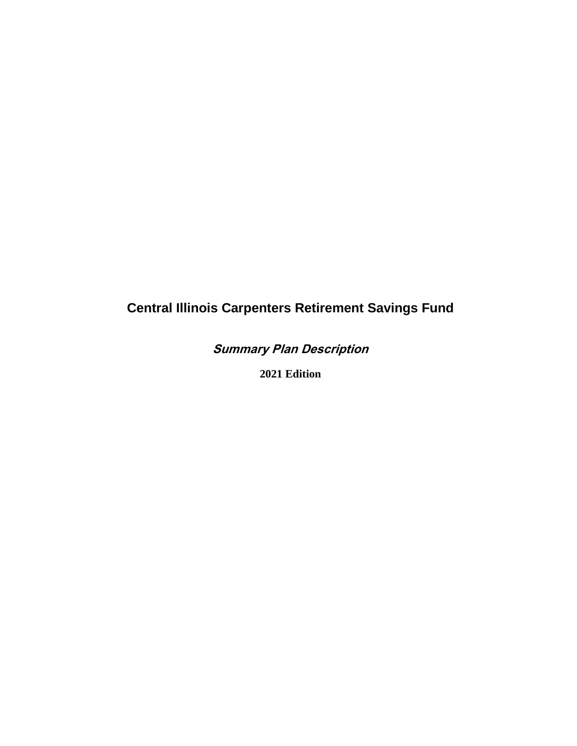# **Central Illinois Carpenters Retirement Savings Fund**

**Summary Plan Description**

**2021 Edition**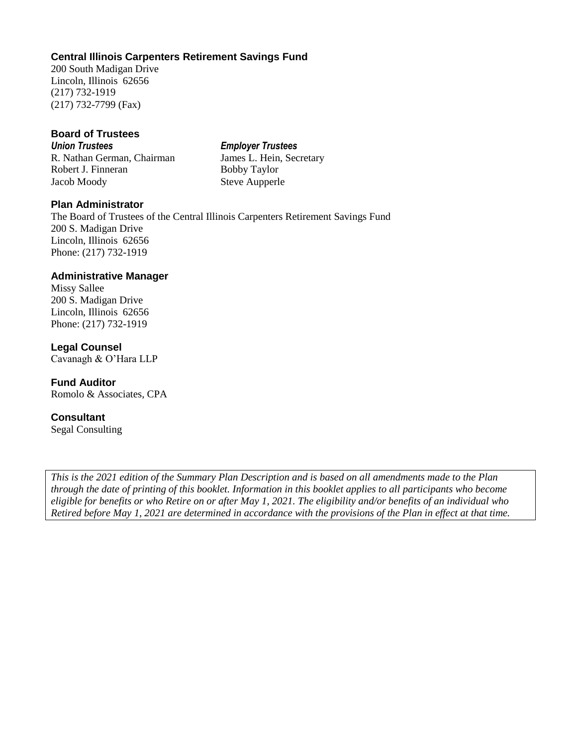## **Central Illinois Carpenters Retirement Savings Fund**

200 South Madigan Drive Lincoln, Illinois 62656 (217) 732-1919 (217) 732-7799 (Fax)

#### **Board of Trustees**

*Union Trustees Employer Trustees* R. Nathan German, Chairman James L. Hein, Secretary Robert J. Finneran Bobby Taylor Jacob Moody Steve Aupperle

## **Plan Administrator**

The Board of Trustees of the Central Illinois Carpenters Retirement Savings Fund 200 S. Madigan Drive Lincoln, Illinois 62656 Phone: (217) 732-1919

#### **Administrative Manager**

Missy Sallee 200 S. Madigan Drive Lincoln, Illinois 62656 Phone: (217) 732-1919

**Legal Counsel** Cavanagh & O'Hara LLP

**Fund Auditor**  Romolo & Associates, CPA

### **Consultant**

Segal Consulting

*This is the 2021 edition of the Summary Plan Description and is based on all amendments made to the Plan through the date of printing of this booklet. Information in this booklet applies to all participants who become eligible for benefits or who Retire on or after May 1, 2021. The eligibility and/or benefits of an individual who Retired before May 1, 2021 are determined in accordance with the provisions of the Plan in effect at that time.*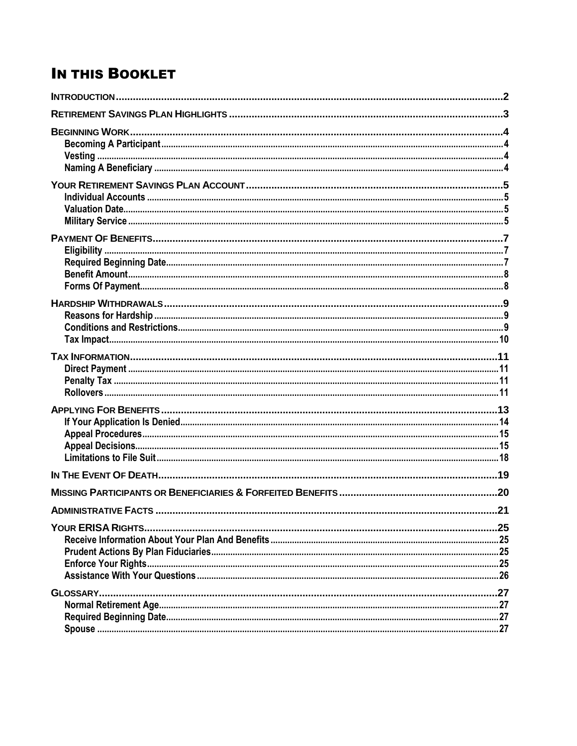# **IN THIS BOOKLET**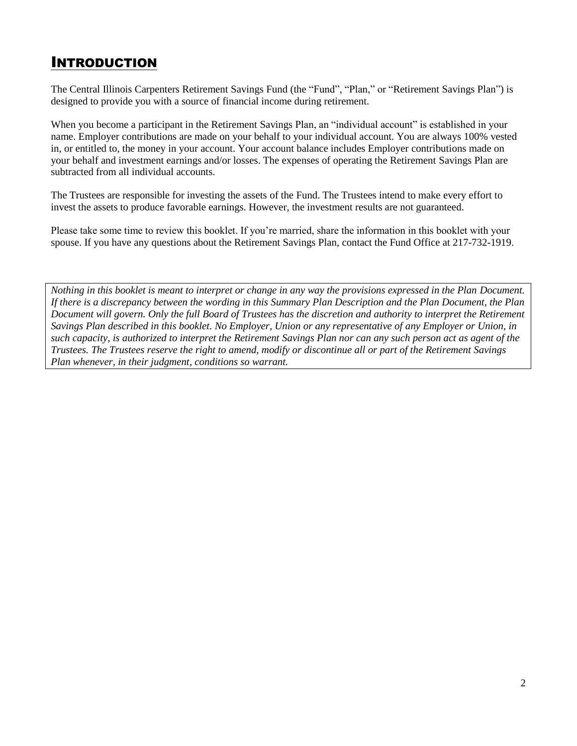# <span id="page-3-0"></span>INTRODUCTION

The Central Illinois Carpenters Retirement Savings Fund (the "Fund", "Plan," or "Retirement Savings Plan") is designed to provide you with a source of financial income during retirement.

When you become a participant in the Retirement Savings Plan, an "individual account" is established in your name. Employer contributions are made on your behalf to your individual account. You are always 100% vested in, or entitled to, the money in your account. Your account balance includes Employer contributions made on your behalf and investment earnings and/or losses. The expenses of operating the Retirement Savings Plan are subtracted from all individual accounts.

The Trustees are responsible for investing the assets of the Fund. The Trustees intend to make every effort to invest the assets to produce favorable earnings. However, the investment results are not guaranteed.

Please take some time to review this booklet. If you're married, share the information in this booklet with your spouse. If you have any questions about the Retirement Savings Plan, contact the Fund Office at 217-732-1919.

*Nothing in this booklet is meant to interpret or change in any way the provisions expressed in the Plan Document. If there is a discrepancy between the wording in this Summary Plan Description and the Plan Document, the Plan Document will govern. Only the full Board of Trustees has the discretion and authority to interpret the Retirement Savings Plan described in this booklet. No Employer, Union or any representative of any Employer or Union, in such capacity, is authorized to interpret the Retirement Savings Plan nor can any such person act as agent of the Trustees. The Trustees reserve the right to amend, modify or discontinue all or part of the Retirement Savings Plan whenever, in their judgment, conditions so warrant.*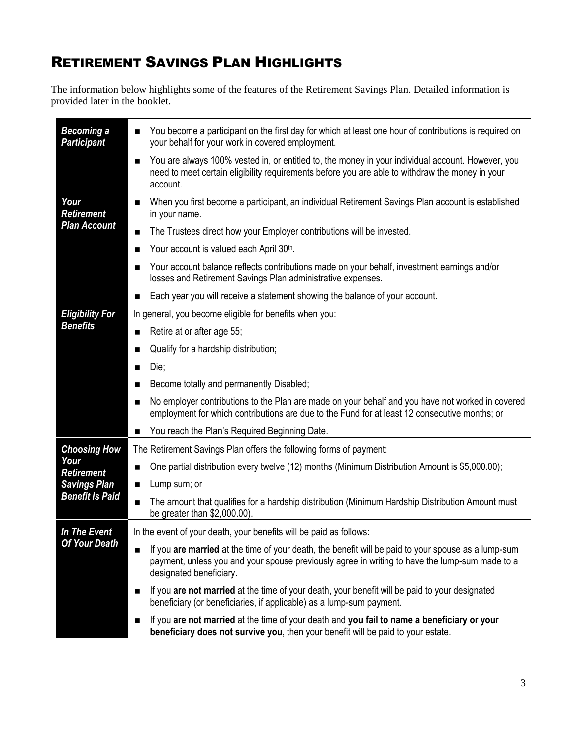# <span id="page-4-0"></span>**RETIREMENT SAVINGS PLAN HIGHLIGHTS**

The information below highlights some of the features of the Retirement Savings Plan. Detailed information is provided later in the booklet.

| <b>Becoming a</b><br><b>Participant</b>                                                           | You become a participant on the first day for which at least one hour of contributions is required on<br>■<br>your behalf for your work in covered employment.                                                                   |
|---------------------------------------------------------------------------------------------------|----------------------------------------------------------------------------------------------------------------------------------------------------------------------------------------------------------------------------------|
|                                                                                                   | You are always 100% vested in, or entitled to, the money in your individual account. However, you<br>■<br>need to meet certain eligibility requirements before you are able to withdraw the money in your<br>account.            |
| Your<br><b>Retirement</b><br><b>Plan Account</b>                                                  | When you first become a participant, an individual Retirement Savings Plan account is established<br>in your name.                                                                                                               |
|                                                                                                   | The Trustees direct how your Employer contributions will be invested.<br>■                                                                                                                                                       |
|                                                                                                   | Your account is valued each April 30th.<br>■                                                                                                                                                                                     |
|                                                                                                   | Your account balance reflects contributions made on your behalf, investment earnings and/or<br>losses and Retirement Savings Plan administrative expenses.                                                                       |
|                                                                                                   | Each year you will receive a statement showing the balance of your account.                                                                                                                                                      |
| <b>Eligibility For</b><br><b>Benefits</b>                                                         | In general, you become eligible for benefits when you:                                                                                                                                                                           |
|                                                                                                   | Retire at or after age 55;                                                                                                                                                                                                       |
|                                                                                                   | Qualify for a hardship distribution;<br>■                                                                                                                                                                                        |
|                                                                                                   | Die;<br>■                                                                                                                                                                                                                        |
|                                                                                                   | Become totally and permanently Disabled;                                                                                                                                                                                         |
|                                                                                                   | No employer contributions to the Plan are made on your behalf and you have not worked in covered<br>employment for which contributions are due to the Fund for at least 12 consecutive months; or                                |
|                                                                                                   | You reach the Plan's Required Beginning Date.                                                                                                                                                                                    |
| <b>Choosing How</b><br>Your<br><b>Retirement</b><br><b>Savings Plan</b><br><b>Benefit Is Paid</b> | The Retirement Savings Plan offers the following forms of payment:                                                                                                                                                               |
|                                                                                                   | One partial distribution every twelve (12) months (Minimum Distribution Amount is \$5,000.00);                                                                                                                                   |
|                                                                                                   | Lump sum; or<br>■                                                                                                                                                                                                                |
|                                                                                                   | The amount that qualifies for a hardship distribution (Minimum Hardship Distribution Amount must<br>■<br>be greater than \$2,000.00).                                                                                            |
| In The Event                                                                                      | In the event of your death, your benefits will be paid as follows:                                                                                                                                                               |
| <b>Of Your Death</b>                                                                              | If you are married at the time of your death, the benefit will be paid to your spouse as a lump-sum<br>payment, unless you and your spouse previously agree in writing to have the lump-sum made to a<br>designated beneficiary. |
|                                                                                                   | If you are not married at the time of your death, your benefit will be paid to your designated<br>■<br>beneficiary (or beneficiaries, if applicable) as a lump-sum payment.                                                      |
|                                                                                                   | If you are not married at the time of your death and you fail to name a beneficiary or your<br>beneficiary does not survive you, then your benefit will be paid to your estate.                                                  |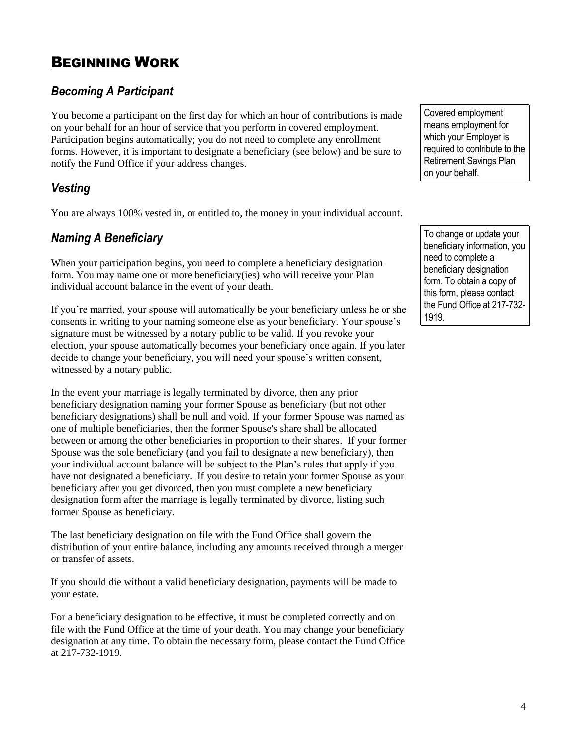# <span id="page-5-0"></span>BEGINNING WORK

# <span id="page-5-1"></span>*Becoming A Participant*

You become a participant on the first day for which an hour of contributions is made on your behalf for an hour of service that you perform in covered employment. Participation begins automatically; you do not need to complete any enrollment forms. However, it is important to designate a beneficiary (see below) and be sure to notify the Fund Office if your address changes.

# <span id="page-5-2"></span>*Vesting*

You are always 100% vested in, or entitled to, the money in your individual account.

# <span id="page-5-3"></span>*Naming A Beneficiary*

When your participation begins, you need to complete a beneficiary designation form. You may name one or more beneficiary(ies) who will receive your Plan individual account balance in the event of your death.

If you're married, your spouse will automatically be your beneficiary unless he or she consents in writing to your naming someone else as your beneficiary. Your spouse's signature must be witnessed by a notary public to be valid. If you revoke your election, your spouse automatically becomes your beneficiary once again. If you later decide to change your beneficiary, you will need your spouse's written consent, witnessed by a notary public.

In the event your marriage is legally terminated by divorce, then any prior beneficiary designation naming your former Spouse as beneficiary (but not other beneficiary designations) shall be null and void. If your former Spouse was named as one of multiple beneficiaries, then the former Spouse's share shall be allocated between or among the other beneficiaries in proportion to their shares. If your former Spouse was the sole beneficiary (and you fail to designate a new beneficiary), then your individual account balance will be subject to the Plan's rules that apply if you have not designated a beneficiary. If you desire to retain your former Spouse as your beneficiary after you get divorced, then you must complete a new beneficiary designation form after the marriage is legally terminated by divorce, listing such former Spouse as beneficiary.

The last beneficiary designation on file with the Fund Office shall govern the distribution of your entire balance, including any amounts received through a merger or transfer of assets.

If you should die without a valid beneficiary designation, payments will be made to your estate.

For a beneficiary designation to be effective, it must be completed correctly and on file with the Fund Office at the time of your death. You may change your beneficiary designation at any time. To obtain the necessary form, please contact the Fund Office at 217-732-1919.

Covered employment means employment for which your Employer is required to contribute to the Retirement Savings Plan on your behalf.

To change or update your beneficiary information, you need to complete a beneficiary designation form. To obtain a copy of this form, please contact the Fund Office at 217-732- 1919.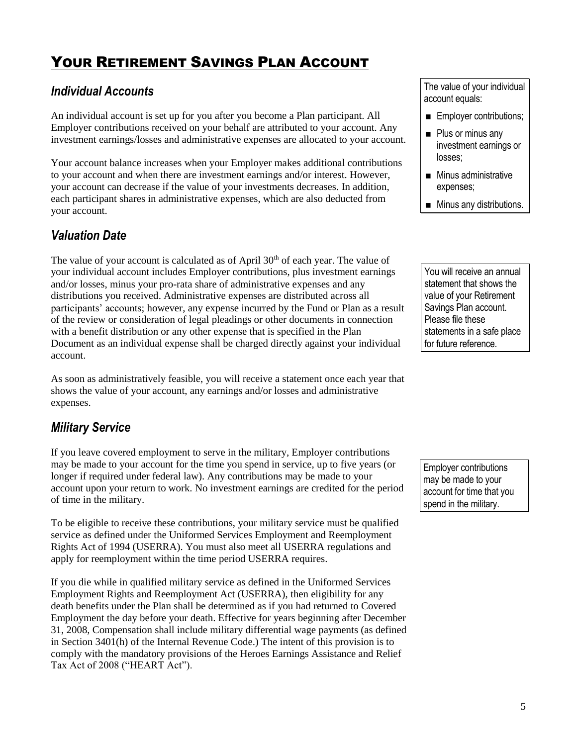# <span id="page-6-0"></span>YOUR RETIREMENT SAVINGS PLAN ACCOUNT

## <span id="page-6-1"></span>*Individual Accounts*

An individual account is set up for you after you become a Plan participant. All Employer contributions received on your behalf are attributed to your account. Any investment earnings/losses and administrative expenses are allocated to your account.

Your account balance increases when your Employer makes additional contributions to your account and when there are investment earnings and/or interest. However, your account can decrease if the value of your investments decreases. In addition, each participant shares in administrative expenses, which are also deducted from your account.

## <span id="page-6-2"></span>*Valuation Date*

The value of your account is calculated as of April  $30<sup>th</sup>$  of each year. The value of your individual account includes Employer contributions, plus investment earnings and/or losses, minus your pro-rata share of administrative expenses and any distributions you received. Administrative expenses are distributed across all participants' accounts; however, any expense incurred by the Fund or Plan as a result of the review or consideration of legal pleadings or other documents in connection with a benefit distribution or any other expense that is specified in the Plan Document as an individual expense shall be charged directly against your individual account.

As soon as administratively feasible, you will receive a statement once each year that shows the value of your account, any earnings and/or losses and administrative expenses.

## <span id="page-6-3"></span>*Military Service*

If you leave covered employment to serve in the military, Employer contributions may be made to your account for the time you spend in service, up to five years (or longer if required under federal law). Any contributions may be made to your account upon your return to work. No investment earnings are credited for the period of time in the military.

To be eligible to receive these contributions, your military service must be qualified service as defined under the Uniformed Services Employment and Reemployment Rights Act of 1994 (USERRA). You must also meet all USERRA regulations and apply for reemployment within the time period USERRA requires.

If you die while in qualified military service as defined in the Uniformed Services Employment Rights and Reemployment Act (USERRA), then eligibility for any death benefits under the Plan shall be determined as if you had returned to Covered Employment the day before your death. Effective for years beginning after December 31, 2008, Compensation shall include military differential wage payments (as defined in Section 3401(h) of the Internal Revenue Code.) The intent of this provision is to comply with the mandatory provisions of the Heroes Earnings Assistance and Relief Tax Act of 2008 ("HEART Act").

The value of your individual account equals:

- **Employer contributions;**
- **Plus or minus any** investment earnings or losses;
- **Minus administrative** expenses;
- **Minus any distributions.**

You will receive an annual statement that shows the value of your Retirement Savings Plan account. Please file these statements in a safe place for future reference.

Employer contributions may be made to your account for time that you spend in the military.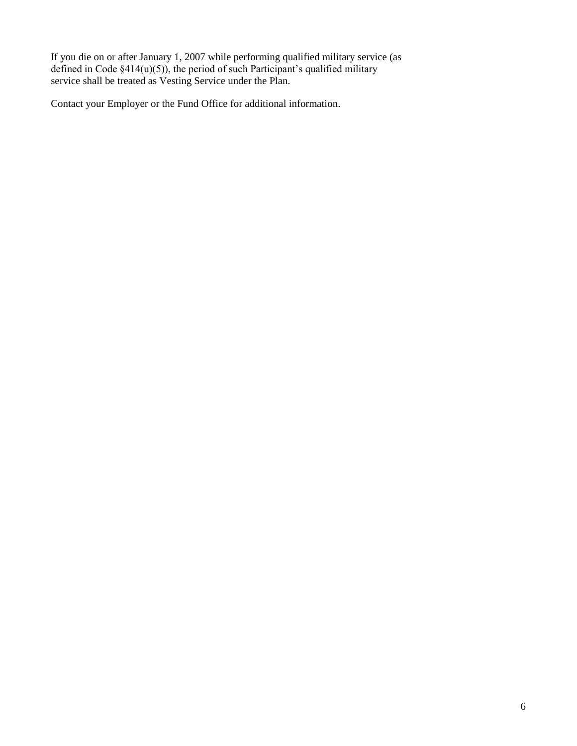If you die on or after January 1, 2007 while performing qualified military service (as defined in Code §414(u)(5)), the period of such Participant's qualified military service shall be treated as Vesting Service under the Plan.

Contact your Employer or the Fund Office for additional information.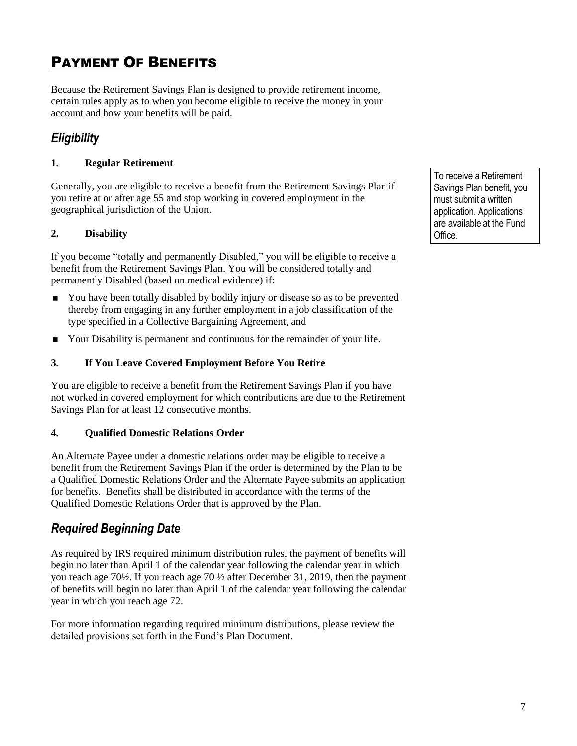# <span id="page-8-0"></span>PAYMENT OF BENEFITS

Because the Retirement Savings Plan is designed to provide retirement income, certain rules apply as to when you become eligible to receive the money in your account and how your benefits will be paid.

# <span id="page-8-1"></span>*Eligibility*

## **1. Regular Retirement**

Generally, you are eligible to receive a benefit from the Retirement Savings Plan if you retire at or after age 55 and stop working in covered employment in the geographical jurisdiction of the Union.

## **2. Disability**

If you become "totally and permanently Disabled," you will be eligible to receive a benefit from the Retirement Savings Plan. You will be considered totally and permanently Disabled (based on medical evidence) if:

- You have been totally disabled by bodily injury or disease so as to be prevented thereby from engaging in any further employment in a job classification of the type specified in a Collective Bargaining Agreement, and
- Your Disability is permanent and continuous for the remainder of your life.

## **3. If You Leave Covered Employment Before You Retire**

You are eligible to receive a benefit from the Retirement Savings Plan if you have not worked in covered employment for which contributions are due to the Retirement Savings Plan for at least 12 consecutive months.

### **4. Qualified Domestic Relations Order**

An Alternate Payee under a domestic relations order may be eligible to receive a benefit from the Retirement Savings Plan if the order is determined by the Plan to be a Qualified Domestic Relations Order and the Alternate Payee submits an application for benefits. Benefits shall be distributed in accordance with the terms of the Qualified Domestic Relations Order that is approved by the Plan.

# <span id="page-8-2"></span>*Required Beginning Date*

As required by IRS required minimum distribution rules, the payment of benefits will begin no later than April 1 of the calendar year following the calendar year in which you reach age 70½. If you reach age 70 ½ after December 31, 2019, then the payment of benefits will begin no later than April 1 of the calendar year following the calendar year in which you reach age 72.

For more information regarding required minimum distributions, please review the detailed provisions set forth in the Fund's Plan Document.

To receive a Retirement Savings Plan benefit, you must submit a written application. Applications are available at the Fund Office.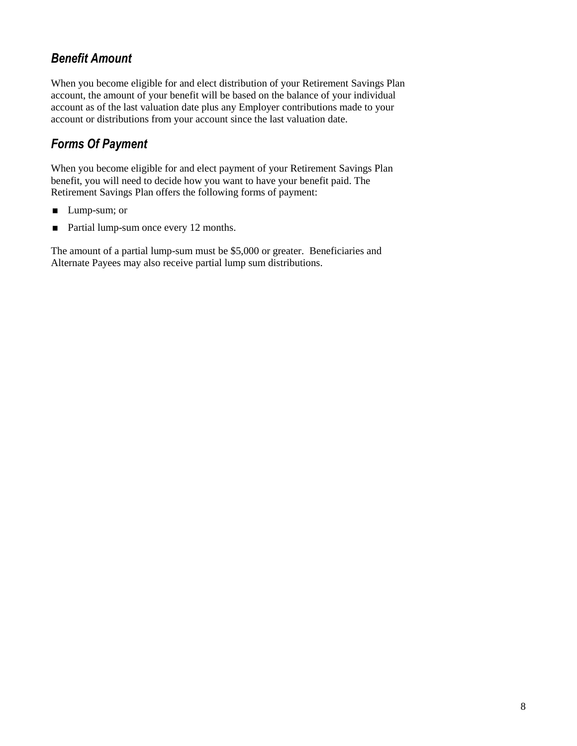# <span id="page-9-0"></span>*Benefit Amount*

When you become eligible for and elect distribution of your Retirement Savings Plan account, the amount of your benefit will be based on the balance of your individual account as of the last valuation date plus any Employer contributions made to your account or distributions from your account since the last valuation date.

# <span id="page-9-1"></span>*Forms Of Payment*

When you become eligible for and elect payment of your Retirement Savings Plan benefit, you will need to decide how you want to have your benefit paid. The Retirement Savings Plan offers the following forms of payment:

- **Lump-sum; or**
- Partial lump-sum once every 12 months.

The amount of a partial lump-sum must be \$5,000 or greater. Beneficiaries and Alternate Payees may also receive partial lump sum distributions.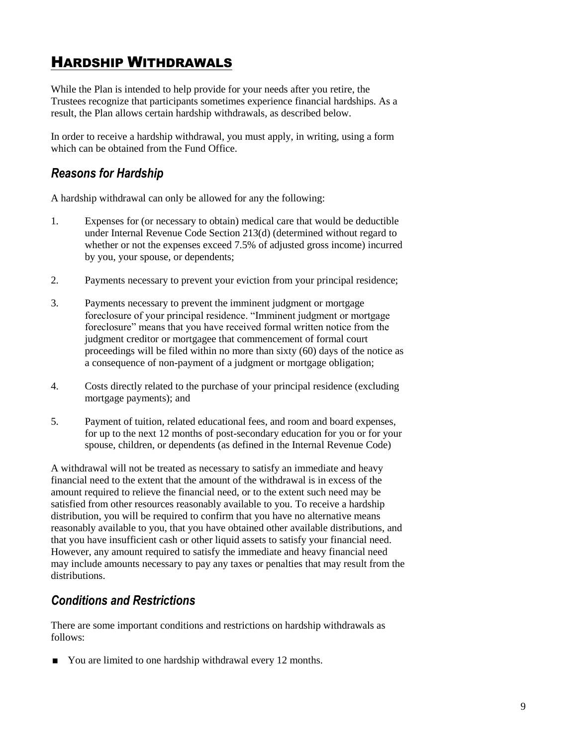# <span id="page-10-0"></span>HARDSHIP WITHDRAWALS

While the Plan is intended to help provide for your needs after you retire, the Trustees recognize that participants sometimes experience financial hardships. As a result, the Plan allows certain hardship withdrawals, as described below.

In order to receive a hardship withdrawal, you must apply, in writing, using a form which can be obtained from the Fund Office.

## <span id="page-10-1"></span>*Reasons for Hardship*

A hardship withdrawal can only be allowed for any the following:

- 1. Expenses for (or necessary to obtain) medical care that would be deductible under Internal Revenue Code Section 213(d) (determined without regard to whether or not the expenses exceed 7.5% of adjusted gross income) incurred by you, your spouse, or dependents;
- 2. Payments necessary to prevent your eviction from your principal residence;
- 3. Payments necessary to prevent the imminent judgment or mortgage foreclosure of your principal residence. "Imminent judgment or mortgage foreclosure" means that you have received formal written notice from the judgment creditor or mortgagee that commencement of formal court proceedings will be filed within no more than sixty (60) days of the notice as a consequence of non-payment of a judgment or mortgage obligation;
- 4. Costs directly related to the purchase of your principal residence (excluding mortgage payments); and
- 5. Payment of tuition, related educational fees, and room and board expenses, for up to the next 12 months of post-secondary education for you or for your spouse, children, or dependents (as defined in the Internal Revenue Code)

A withdrawal will not be treated as necessary to satisfy an immediate and heavy financial need to the extent that the amount of the withdrawal is in excess of the amount required to relieve the financial need, or to the extent such need may be satisfied from other resources reasonably available to you. To receive a hardship distribution, you will be required to confirm that you have no alternative means reasonably available to you, that you have obtained other available distributions, and that you have insufficient cash or other liquid assets to satisfy your financial need. However, any amount required to satisfy the immediate and heavy financial need may include amounts necessary to pay any taxes or penalties that may result from the distributions.

## <span id="page-10-2"></span>*Conditions and Restrictions*

There are some important conditions and restrictions on hardship withdrawals as follows:

■ You are limited to one hardship withdrawal every 12 months.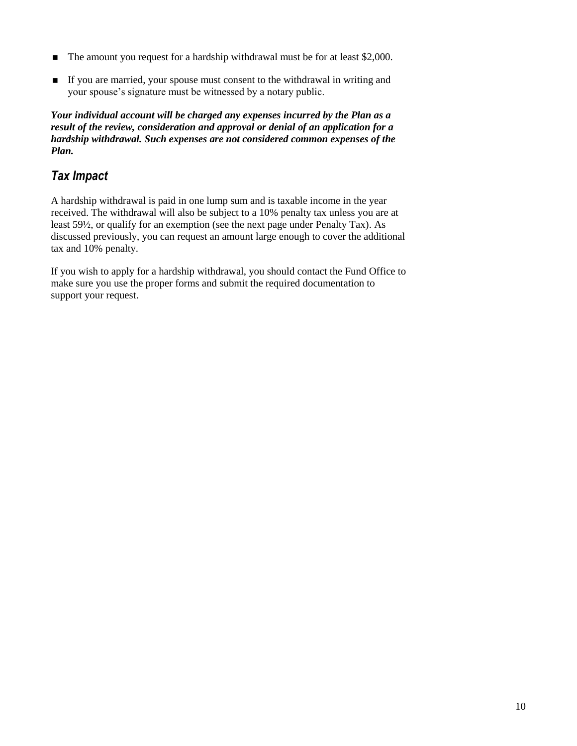- The amount you request for a hardship withdrawal must be for at least \$2,000.
- If you are married, your spouse must consent to the withdrawal in writing and your spouse's signature must be witnessed by a notary public.

*Your individual account will be charged any expenses incurred by the Plan as a result of the review, consideration and approval or denial of an application for a hardship withdrawal. Such expenses are not considered common expenses of the Plan.* 

# <span id="page-11-0"></span>*Tax Impact*

A hardship withdrawal is paid in one lump sum and is taxable income in the year received. The withdrawal will also be subject to a 10% penalty tax unless you are at least 59½, or qualify for an exemption (see the next page under Penalty Tax). As discussed previously, you can request an amount large enough to cover the additional tax and 10% penalty.

If you wish to apply for a hardship withdrawal, you should contact the Fund Office to make sure you use the proper forms and submit the required documentation to support your request.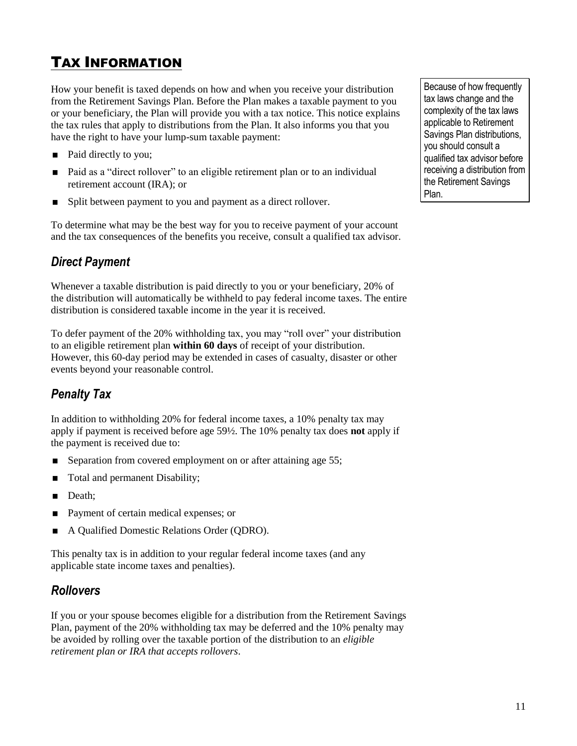# <span id="page-12-0"></span>TAX INFORMATION

How your benefit is taxed depends on how and when you receive your distribution from the Retirement Savings Plan. Before the Plan makes a taxable payment to you or your beneficiary, the Plan will provide you with a tax notice. This notice explains the tax rules that apply to distributions from the Plan. It also informs you that you have the right to have your lump-sum taxable payment:

- Paid directly to you;
- Paid as a "direct rollover" to an eligible retirement plan or to an individual retirement account (IRA); or
- **Split between payment to you and payment as a direct rollover.**

To determine what may be the best way for you to receive payment of your account and the tax consequences of the benefits you receive, consult a qualified tax advisor.

# <span id="page-12-1"></span>*Direct Payment*

Whenever a taxable distribution is paid directly to you or your beneficiary, 20% of the distribution will automatically be withheld to pay federal income taxes. The entire distribution is considered taxable income in the year it is received.

To defer payment of the 20% withholding tax, you may "roll over" your distribution to an eligible retirement plan **within 60 days** of receipt of your distribution. However, this 60-day period may be extended in cases of casualty, disaster or other events beyond your reasonable control.

# <span id="page-12-2"></span>*Penalty Tax*

In addition to withholding 20% for federal income taxes, a 10% penalty tax may apply if payment is received before age 59½. The 10% penalty tax does **not** apply if the payment is received due to:

- Separation from covered employment on or after attaining age 55;
- Total and permanent Disability;
- Death:
- Payment of certain medical expenses; or
- A Qualified Domestic Relations Order (QDRO).

This penalty tax is in addition to your regular federal income taxes (and any applicable state income taxes and penalties).

## <span id="page-12-3"></span>*Rollovers*

If you or your spouse becomes eligible for a distribution from the Retirement Savings Plan, payment of the 20% withholding tax may be deferred and the 10% penalty may be avoided by rolling over the taxable portion of the distribution to an *eligible retirement plan or IRA that accepts rollovers*.

Because of how frequently tax laws change and the complexity of the tax laws applicable to Retirement Savings Plan distributions, you should consult a qualified tax advisor before receiving a distribution from the Retirement Savings Plan.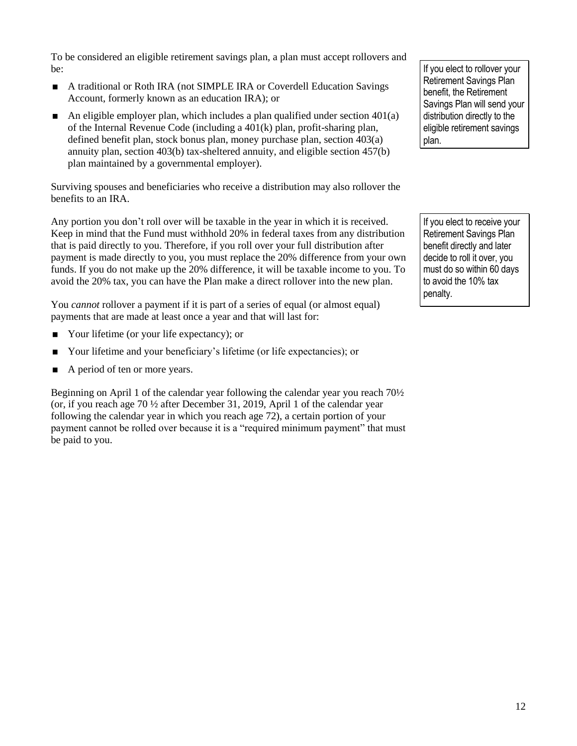To be considered an eligible retirement savings plan, a plan must accept rollovers and be:

- A traditional or Roth IRA (not SIMPLE IRA or Coverdell Education Savings Account, formerly known as an education IRA); or
- An eligible employer plan, which includes a plan qualified under section  $401(a)$ of the Internal Revenue Code (including a 401(k) plan, profit-sharing plan, defined benefit plan, stock bonus plan, money purchase plan, section 403(a) annuity plan, section 403(b) tax-sheltered annuity, and eligible section 457(b) plan maintained by a governmental employer).

Surviving spouses and beneficiaries who receive a distribution may also rollover the benefits to an IRA.

Any portion you don't roll over will be taxable in the year in which it is received. Keep in mind that the Fund must withhold 20% in federal taxes from any distribution that is paid directly to you. Therefore, if you roll over your full distribution after payment is made directly to you, you must replace the 20% difference from your own funds. If you do not make up the 20% difference, it will be taxable income to you. To avoid the 20% tax, you can have the Plan make a direct rollover into the new plan.

You *cannot* rollover a payment if it is part of a series of equal (or almost equal) payments that are made at least once a year and that will last for:

- Your lifetime (or your life expectancy); or
- Your lifetime and your beneficiary's lifetime (or life expectancies); or
- A period of ten or more years.

Beginning on April 1 of the calendar year following the calendar year you reach 70½ (or, if you reach age 70 ½ after December 31, 2019, April 1 of the calendar year following the calendar year in which you reach age 72), a certain portion of your payment cannot be rolled over because it is a "required minimum payment" that must be paid to you.

If you elect to rollover your Retirement Savings Plan benefit, the Retirement Savings Plan will send your distribution directly to the eligible retirement savings plan.

If you elect to receive your Retirement Savings Plan benefit directly and later decide to roll it over, you must do so within 60 days to avoid the 10% tax penalty.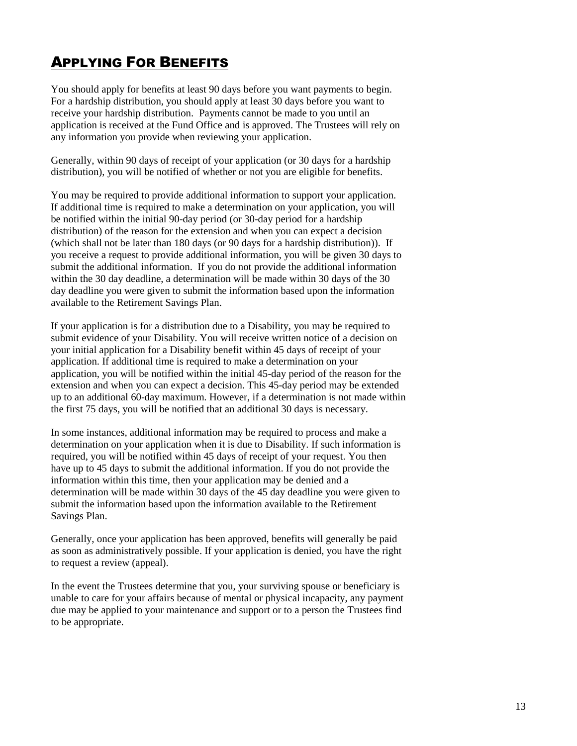# <span id="page-14-0"></span>APPLYING FOR BENEFITS

You should apply for benefits at least 90 days before you want payments to begin. For a hardship distribution, you should apply at least 30 days before you want to receive your hardship distribution. Payments cannot be made to you until an application is received at the Fund Office and is approved. The Trustees will rely on any information you provide when reviewing your application.

Generally, within 90 days of receipt of your application (or 30 days for a hardship distribution), you will be notified of whether or not you are eligible for benefits.

You may be required to provide additional information to support your application. If additional time is required to make a determination on your application, you will be notified within the initial 90-day period (or 30-day period for a hardship distribution) of the reason for the extension and when you can expect a decision (which shall not be later than 180 days (or 90 days for a hardship distribution)). If you receive a request to provide additional information, you will be given 30 days to submit the additional information. If you do not provide the additional information within the 30 day deadline, a determination will be made within 30 days of the 30 day deadline you were given to submit the information based upon the information available to the Retirement Savings Plan.

If your application is for a distribution due to a Disability, you may be required to submit evidence of your Disability. You will receive written notice of a decision on your initial application for a Disability benefit within 45 days of receipt of your application. If additional time is required to make a determination on your application, you will be notified within the initial 45-day period of the reason for the extension and when you can expect a decision. This 45-day period may be extended up to an additional 60-day maximum. However, if a determination is not made within the first 75 days, you will be notified that an additional 30 days is necessary.

In some instances, additional information may be required to process and make a determination on your application when it is due to Disability. If such information is required, you will be notified within 45 days of receipt of your request. You then have up to 45 days to submit the additional information. If you do not provide the information within this time, then your application may be denied and a determination will be made within 30 days of the 45 day deadline you were given to submit the information based upon the information available to the Retirement Savings Plan.

Generally, once your application has been approved, benefits will generally be paid as soon as administratively possible. If your application is denied, you have the right to request a review (appeal).

In the event the Trustees determine that you, your surviving spouse or beneficiary is unable to care for your affairs because of mental or physical incapacity, any payment due may be applied to your maintenance and support or to a person the Trustees find to be appropriate.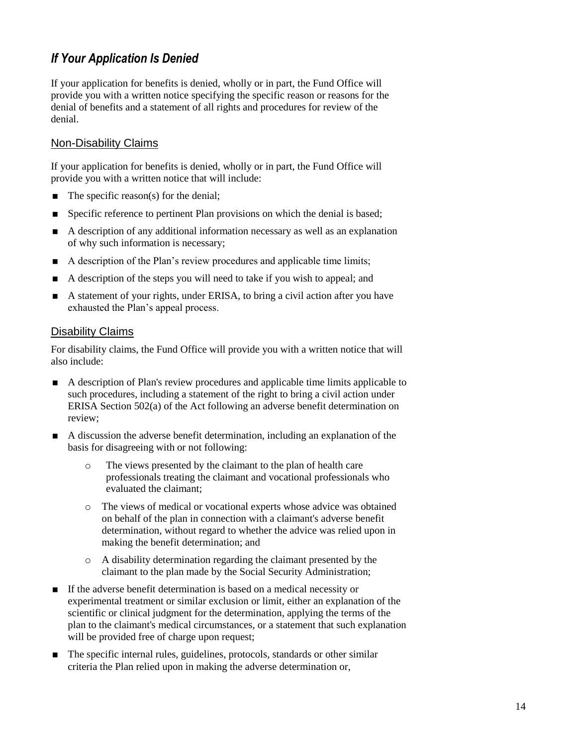# <span id="page-15-0"></span>*If Your Application Is Denied*

If your application for benefits is denied, wholly or in part, the Fund Office will provide you with a written notice specifying the specific reason or reasons for the denial of benefits and a statement of all rights and procedures for review of the denial.

## Non-Disability Claims

If your application for benefits is denied, wholly or in part, the Fund Office will provide you with a written notice that will include:

- $\blacksquare$  The specific reason(s) for the denial;
- Specific reference to pertinent Plan provisions on which the denial is based;
- A description of any additional information necessary as well as an explanation of why such information is necessary;
- A description of the Plan's review procedures and applicable time limits;
- A description of the steps you will need to take if you wish to appeal; and
- A statement of your rights, under ERISA, to bring a civil action after you have exhausted the Plan's appeal process.

#### Disability Claims

For disability claims, the Fund Office will provide you with a written notice that will also include:

- A description of Plan's review procedures and applicable time limits applicable to such procedures, including a statement of the right to bring a civil action under ERISA Section 502(a) of the Act following an adverse benefit determination on review;
- A discussion the adverse benefit determination, including an explanation of the basis for disagreeing with or not following:
	- o The views presented by the claimant to the plan of health care professionals treating the claimant and vocational professionals who evaluated the claimant;
	- o The views of medical or vocational experts whose advice was obtained on behalf of the plan in connection with a claimant's adverse benefit determination, without regard to whether the advice was relied upon in making the benefit determination; and
	- o A disability determination regarding the claimant presented by the claimant to the plan made by the Social Security Administration;
- If the adverse benefit determination is based on a medical necessity or experimental treatment or similar exclusion or limit, either an explanation of the scientific or clinical judgment for the determination, applying the terms of the plan to the claimant's medical circumstances, or a statement that such explanation will be provided free of charge upon request;
- The specific internal rules, guidelines, protocols, standards or other similar criteria the Plan relied upon in making the adverse determination or,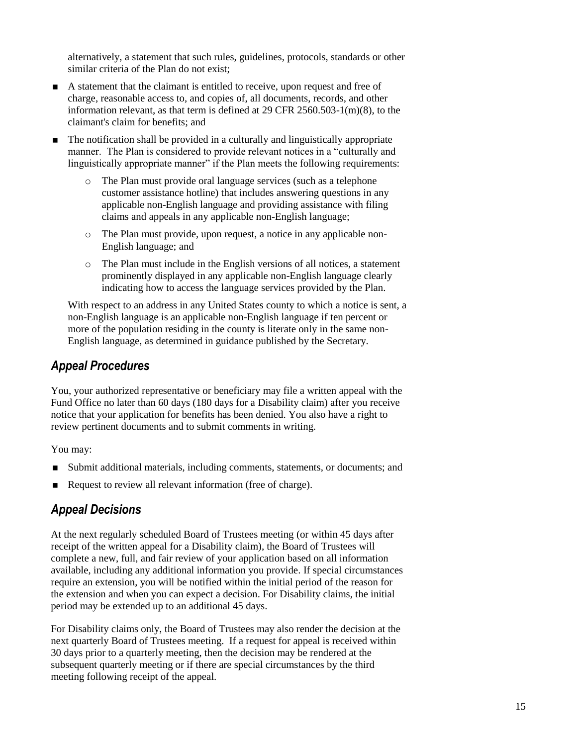alternatively, a statement that such rules, guidelines, protocols, standards or other similar criteria of the Plan do not exist;

- A statement that the claimant is entitled to receive, upon request and free of charge, reasonable access to, and copies of, all documents, records, and other information relevant, as that term is defined at 29 CFR 2560.503-1(m)(8), to the claimant's claim for benefits; and
- The notification shall be provided in a culturally and linguistically appropriate manner. The Plan is considered to provide relevant notices in a "culturally and linguistically appropriate manner" if the Plan meets the following requirements:
	- o The Plan must provide oral language services (such as a telephone customer assistance hotline) that includes answering questions in any applicable non-English language and providing assistance with filing claims and appeals in any applicable non-English language;
	- o The Plan must provide, upon request, a notice in any applicable non-English language; and
	- o The Plan must include in the English versions of all notices, a statement prominently displayed in any applicable non-English language clearly indicating how to access the language services provided by the Plan.

With respect to an address in any United States county to which a notice is sent, a non-English language is an applicable non-English language if ten percent or more of the population residing in the county is literate only in the same non-English language, as determined in guidance published by the Secretary.

## <span id="page-16-0"></span>*Appeal Procedures*

You, your authorized representative or beneficiary may file a written appeal with the Fund Office no later than 60 days (180 days for a Disability claim) after you receive notice that your application for benefits has been denied. You also have a right to review pertinent documents and to submit comments in writing.

You may:

- Submit additional materials, including comments, statements, or documents; and
- <span id="page-16-1"></span>Request to review all relevant information (free of charge).

# *Appeal Decisions*

At the next regularly scheduled Board of Trustees meeting (or within 45 days after receipt of the written appeal for a Disability claim), the Board of Trustees will complete a new, full, and fair review of your application based on all information available, including any additional information you provide. If special circumstances require an extension, you will be notified within the initial period of the reason for the extension and when you can expect a decision. For Disability claims, the initial period may be extended up to an additional 45 days.

For Disability claims only, the Board of Trustees may also render the decision at the next quarterly Board of Trustees meeting. If a request for appeal is received within 30 days prior to a quarterly meeting, then the decision may be rendered at the subsequent quarterly meeting or if there are special circumstances by the third meeting following receipt of the appeal.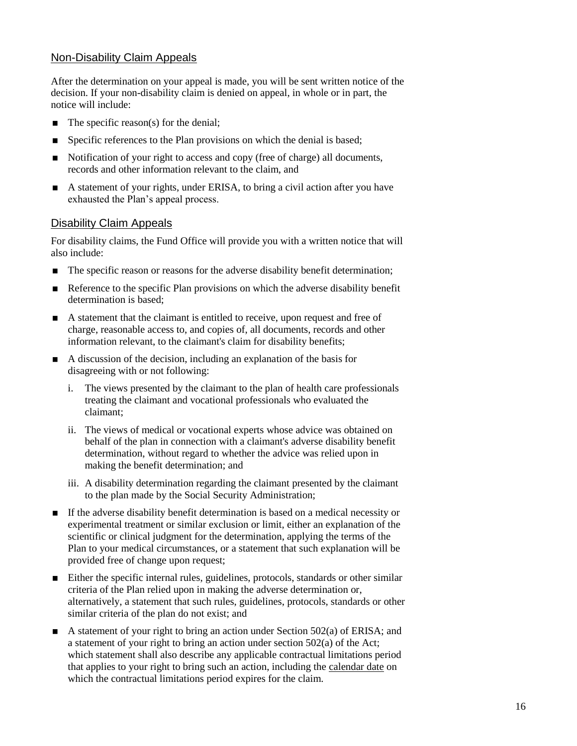## Non-Disability Claim Appeals

After the determination on your appeal is made, you will be sent written notice of the decision. If your non-disability claim is denied on appeal, in whole or in part, the notice will include:

- $\blacksquare$  The specific reason(s) for the denial;
- **Specific references to the Plan provisions on which the denial is based;**
- Notification of your right to access and copy (free of charge) all documents, records and other information relevant to the claim, and
- A statement of your rights, under ERISA, to bring a civil action after you have exhausted the Plan's appeal process.

#### Disability Claim Appeals

For disability claims, the Fund Office will provide you with a written notice that will also include:

- The specific reason or reasons for the adverse disability benefit determination;
- Reference to the specific Plan provisions on which the adverse disability benefit determination is based;
- A statement that the claimant is entitled to receive, upon request and free of charge, reasonable access to, and copies of, all documents, records and other information relevant, to the claimant's claim for disability benefits;
- A discussion of the decision, including an explanation of the basis for disagreeing with or not following:
	- i. The views presented by the claimant to the plan of health care professionals treating the claimant and vocational professionals who evaluated the claimant;
	- ii. The views of medical or vocational experts whose advice was obtained on behalf of the plan in connection with a claimant's adverse disability benefit determination, without regard to whether the advice was relied upon in making the benefit determination; and
	- iii. A disability determination regarding the claimant presented by the claimant to the plan made by the Social Security Administration;
- If the adverse disability benefit determination is based on a medical necessity or experimental treatment or similar exclusion or limit, either an explanation of the scientific or clinical judgment for the determination, applying the terms of the Plan to your medical circumstances, or a statement that such explanation will be provided free of change upon request;
- Either the specific internal rules, guidelines, protocols, standards or other similar criteria of the Plan relied upon in making the adverse determination or, alternatively, a statement that such rules, guidelines, protocols, standards or other similar criteria of the plan do not exist; and
- A statement of your right to bring an action under Section  $502(a)$  of ERISA; and a statement of your right to bring an action under section 502(a) of the Act; which statement shall also describe any applicable contractual limitations period that applies to your right to bring such an action, including the calendar date on which the contractual limitations period expires for the claim.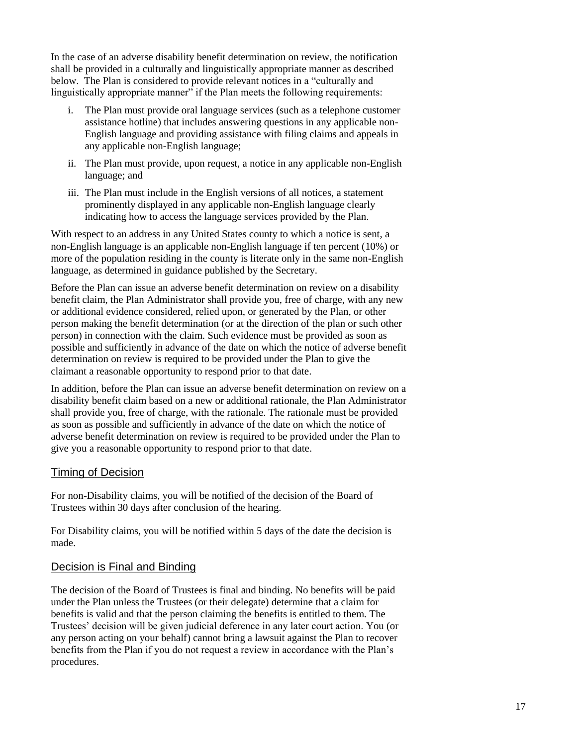In the case of an adverse disability benefit determination on review, the notification shall be provided in a culturally and linguistically appropriate manner as described below. The Plan is considered to provide relevant notices in a "culturally and linguistically appropriate manner" if the Plan meets the following requirements:

- i. The Plan must provide oral language services (such as a telephone customer assistance hotline) that includes answering questions in any applicable non-English language and providing assistance with filing claims and appeals in any applicable non-English language;
- ii. The Plan must provide, upon request, a notice in any applicable non-English language; and
- iii. The Plan must include in the English versions of all notices, a statement prominently displayed in any applicable non-English language clearly indicating how to access the language services provided by the Plan.

With respect to an address in any United States county to which a notice is sent, a non-English language is an applicable non-English language if ten percent (10%) or more of the population residing in the county is literate only in the same non-English language, as determined in guidance published by the Secretary.

Before the Plan can issue an adverse benefit determination on review on a disability benefit claim, the Plan Administrator shall provide you, free of charge, with any new or additional evidence considered, relied upon, or generated by the Plan, or other person making the benefit determination (or at the direction of the plan or such other person) in connection with the claim. Such evidence must be provided as soon as possible and sufficiently in advance of the date on which the notice of adverse benefit determination on review is required to be provided under the Plan to give the claimant a reasonable opportunity to respond prior to that date.

In addition, before the Plan can issue an adverse benefit determination on review on a disability benefit claim based on a new or additional rationale, the Plan Administrator shall provide you, free of charge, with the rationale. The rationale must be provided as soon as possible and sufficiently in advance of the date on which the notice of adverse benefit determination on review is required to be provided under the Plan to give you a reasonable opportunity to respond prior to that date.

## Timing of Decision

For non-Disability claims, you will be notified of the decision of the Board of Trustees within 30 days after conclusion of the hearing.

For Disability claims, you will be notified within 5 days of the date the decision is made.

## Decision is Final and Binding

The decision of the Board of Trustees is final and binding. No benefits will be paid under the Plan unless the Trustees (or their delegate) determine that a claim for benefits is valid and that the person claiming the benefits is entitled to them. The Trustees' decision will be given judicial deference in any later court action. You (or any person acting on your behalf) cannot bring a lawsuit against the Plan to recover benefits from the Plan if you do not request a review in accordance with the Plan's procedures.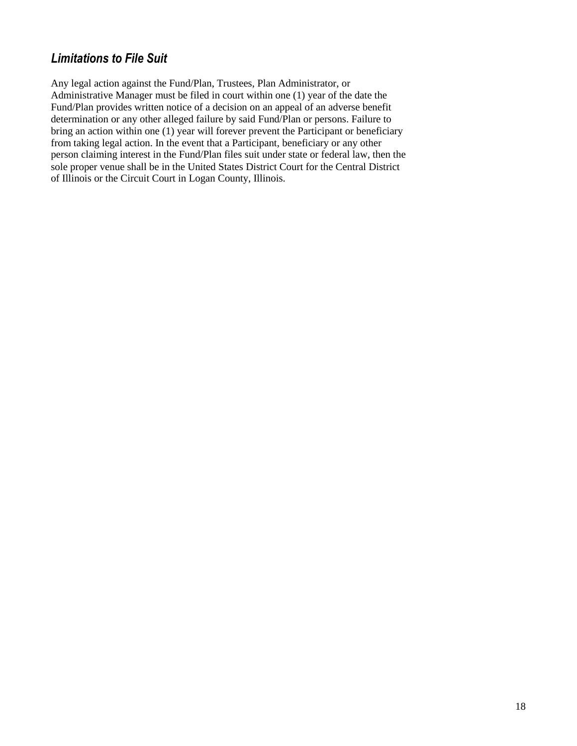# <span id="page-19-0"></span>*Limitations to File Suit*

Any legal action against the Fund/Plan, Trustees, Plan Administrator, or Administrative Manager must be filed in court within one (1) year of the date the Fund/Plan provides written notice of a decision on an appeal of an adverse benefit determination or any other alleged failure by said Fund/Plan or persons. Failure to bring an action within one (1) year will forever prevent the Participant or beneficiary from taking legal action. In the event that a Participant, beneficiary or any other person claiming interest in the Fund/Plan files suit under state or federal law, then the sole proper venue shall be in the United States District Court for the Central District of Illinois or the Circuit Court in Logan County, Illinois.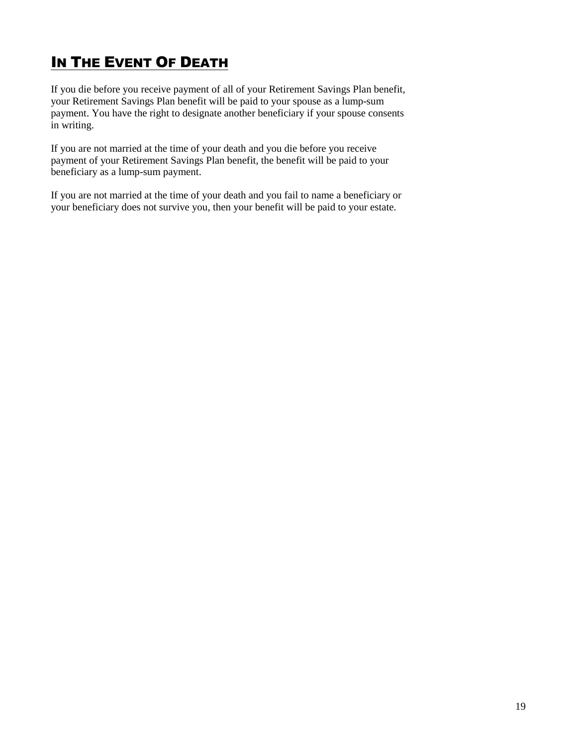# <span id="page-20-0"></span>**IN THE EVENT OF DEATH**

If you die before you receive payment of all of your Retirement Savings Plan benefit, your Retirement Savings Plan benefit will be paid to your spouse as a lump-sum payment. You have the right to designate another beneficiary if your spouse consents in writing.

If you are not married at the time of your death and you die before you receive payment of your Retirement Savings Plan benefit, the benefit will be paid to your beneficiary as a lump-sum payment.

If you are not married at the time of your death and you fail to name a beneficiary or your beneficiary does not survive you, then your benefit will be paid to your estate.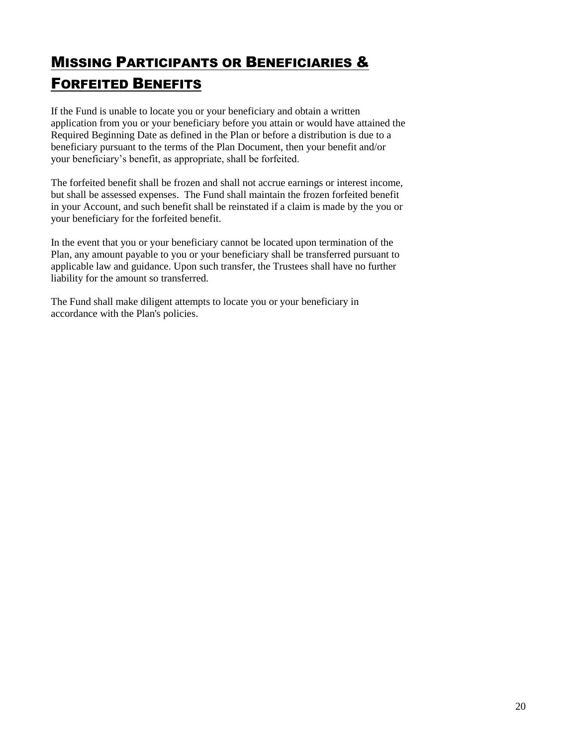# <span id="page-21-0"></span>MISSING PARTICIPANTS OR BENEFICIARIES & FORFEITED BENEFITS

If the Fund is unable to locate you or your beneficiary and obtain a written application from you or your beneficiary before you attain or would have attained the Required Beginning Date as defined in the Plan or before a distribution is due to a beneficiary pursuant to the terms of the Plan Document, then your benefit and/or your beneficiary's benefit, as appropriate, shall be forfeited.

The forfeited benefit shall be frozen and shall not accrue earnings or interest income, but shall be assessed expenses. The Fund shall maintain the frozen forfeited benefit in your Account, and such benefit shall be reinstated if a claim is made by the you or your beneficiary for the forfeited benefit.

In the event that you or your beneficiary cannot be located upon termination of the Plan, any amount payable to you or your beneficiary shall be transferred pursuant to applicable law and guidance. Upon such transfer, the Trustees shall have no further liability for the amount so transferred.

The Fund shall make diligent attempts to locate you or your beneficiary in accordance with the Plan's policies.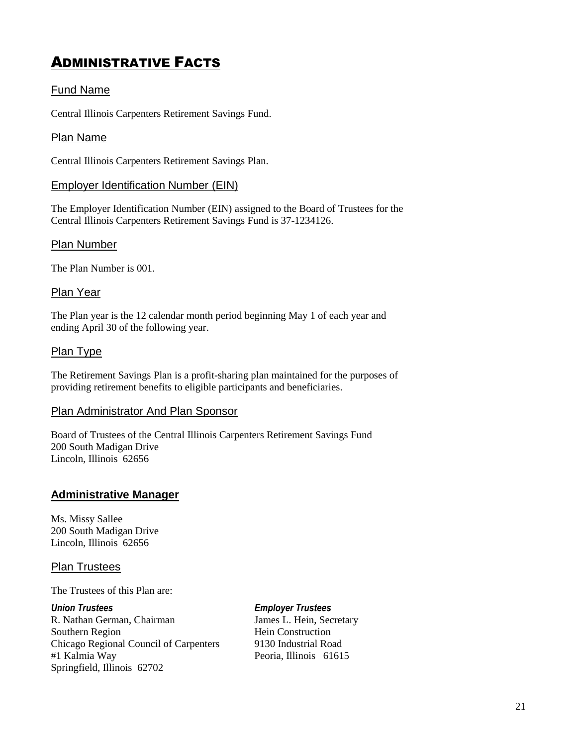# <span id="page-22-0"></span>ADMINISTRATIVE FACTS

## Fund Name

Central Illinois Carpenters Retirement Savings Fund.

## Plan Name

Central Illinois Carpenters Retirement Savings Plan.

## Employer Identification Number (EIN)

The Employer Identification Number (EIN) assigned to the Board of Trustees for the Central Illinois Carpenters Retirement Savings Fund is 37-1234126.

## Plan Number

The Plan Number is 001.

## Plan Year

The Plan year is the 12 calendar month period beginning May 1 of each year and ending April 30 of the following year.

## Plan Type

The Retirement Savings Plan is a profit-sharing plan maintained for the purposes of providing retirement benefits to eligible participants and beneficiaries.

### Plan Administrator And Plan Sponsor

Board of Trustees of the Central Illinois Carpenters Retirement Savings Fund 200 South Madigan Drive Lincoln, Illinois 62656

## **Administrative Manager**

Ms. Missy Sallee 200 South Madigan Drive Lincoln, Illinois 62656

## Plan Trustees

The Trustees of this Plan are:

R. Nathan German, Chairman James L. Hein, Secretary Southern Region Hein Construction Chicago Regional Council of Carpenters 9130 Industrial Road #1 Kalmia Way Peoria, Illinois 61615 Springfield, Illinois 62702

*Union Trustees Employer Trustees*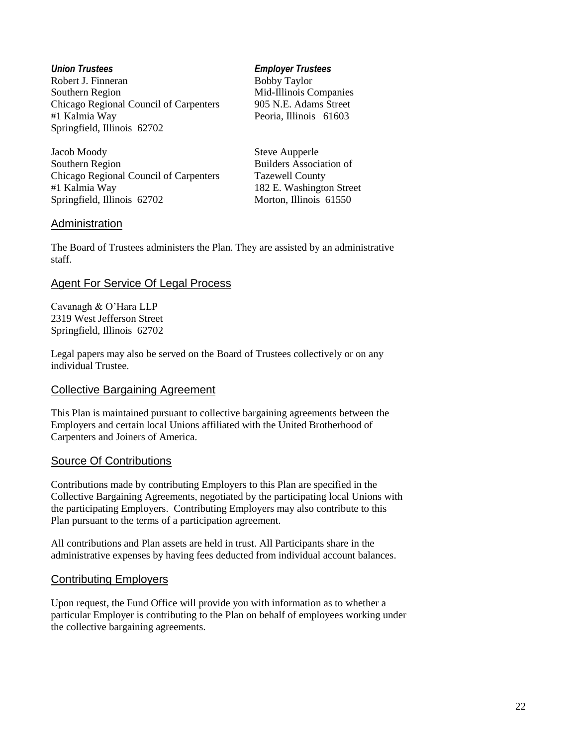Robert J. Finneran Bobby Taylor Southern Region Mid-Illinois Companies Chicago Regional Council of Carpenters 905 N.E. Adams Street #1 Kalmia Way Peoria, Illinois 61603 Springfield, Illinois 62702

Jacob Moody Steve Aupperle Southern Region Builders Association of Chicago Regional Council of Carpenters Tazewell County #1 Kalmia Way 182 E. Washington Street Springfield, Illinois 62702 Morton, Illinois 61550

#### *Union Trustees Employer Trustees*

#### Administration

The Board of Trustees administers the Plan. They are assisted by an administrative staff.

### Agent For Service Of Legal Process

Cavanagh & O'Hara LLP 2319 West Jefferson Street Springfield, Illinois 62702

Legal papers may also be served on the Board of Trustees collectively or on any individual Trustee.

### Collective Bargaining Agreement

This Plan is maintained pursuant to collective bargaining agreements between the Employers and certain local Unions affiliated with the United Brotherhood of Carpenters and Joiners of America.

#### Source Of Contributions

Contributions made by contributing Employers to this Plan are specified in the Collective Bargaining Agreements, negotiated by the participating local Unions with the participating Employers. Contributing Employers may also contribute to this Plan pursuant to the terms of a participation agreement.

All contributions and Plan assets are held in trust. All Participants share in the administrative expenses by having fees deducted from individual account balances.

### Contributing Employers

Upon request, the Fund Office will provide you with information as to whether a particular Employer is contributing to the Plan on behalf of employees working under the collective bargaining agreements.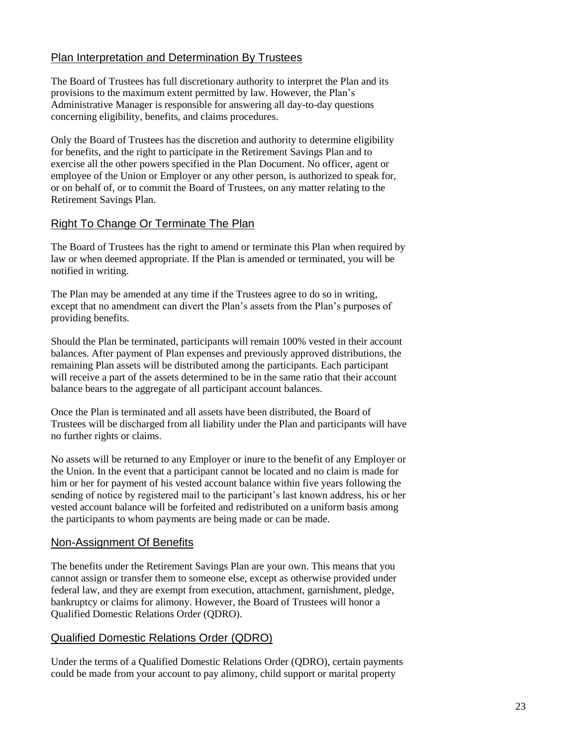## Plan Interpretation and Determination By Trustees

The Board of Trustees has full discretionary authority to interpret the Plan and its provisions to the maximum extent permitted by law. However, the Plan's Administrative Manager is responsible for answering all day-to-day questions concerning eligibility, benefits, and claims procedures.

Only the Board of Trustees has the discretion and authority to determine eligibility for benefits, and the right to participate in the Retirement Savings Plan and to exercise all the other powers specified in the Plan Document. No officer, agent or employee of the Union or Employer or any other person, is authorized to speak for, or on behalf of, or to commit the Board of Trustees, on any matter relating to the Retirement Savings Plan.

## Right To Change Or Terminate The Plan

The Board of Trustees has the right to amend or terminate this Plan when required by law or when deemed appropriate. If the Plan is amended or terminated, you will be notified in writing.

The Plan may be amended at any time if the Trustees agree to do so in writing, except that no amendment can divert the Plan's assets from the Plan's purposes of providing benefits.

Should the Plan be terminated, participants will remain 100% vested in their account balances. After payment of Plan expenses and previously approved distributions, the remaining Plan assets will be distributed among the participants. Each participant will receive a part of the assets determined to be in the same ratio that their account balance bears to the aggregate of all participant account balances.

Once the Plan is terminated and all assets have been distributed, the Board of Trustees will be discharged from all liability under the Plan and participants will have no further rights or claims.

No assets will be returned to any Employer or inure to the benefit of any Employer or the Union. In the event that a participant cannot be located and no claim is made for him or her for payment of his vested account balance within five years following the sending of notice by registered mail to the participant's last known address, his or her vested account balance will be forfeited and redistributed on a uniform basis among the participants to whom payments are being made or can be made.

## Non-Assignment Of Benefits

The benefits under the Retirement Savings Plan are your own. This means that you cannot assign or transfer them to someone else, except as otherwise provided under federal law, and they are exempt from execution, attachment, garnishment, pledge, bankruptcy or claims for alimony. However, the Board of Trustees will honor a Qualified Domestic Relations Order (QDRO).

## Qualified Domestic Relations Order (QDRO)

Under the terms of a Qualified Domestic Relations Order (QDRO), certain payments could be made from your account to pay alimony, child support or marital property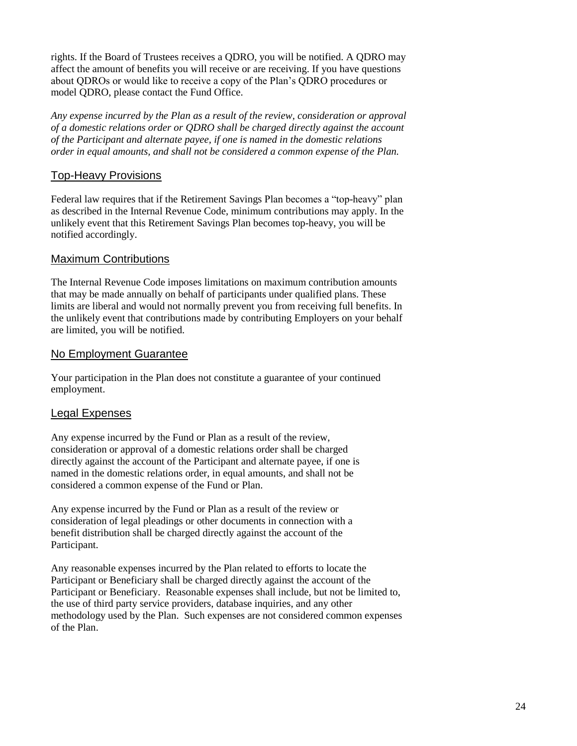rights. If the Board of Trustees receives a QDRO, you will be notified. A QDRO may affect the amount of benefits you will receive or are receiving. If you have questions about QDROs or would like to receive a copy of the Plan's QDRO procedures or model QDRO, please contact the Fund Office.

*Any expense incurred by the Plan as a result of the review, consideration or approval of a domestic relations order or QDRO shall be charged directly against the account of the Participant and alternate payee, if one is named in the domestic relations order in equal amounts, and shall not be considered a common expense of the Plan.* 

## Top-Heavy Provisions

Federal law requires that if the Retirement Savings Plan becomes a "top-heavy" plan as described in the Internal Revenue Code, minimum contributions may apply. In the unlikely event that this Retirement Savings Plan becomes top-heavy, you will be notified accordingly.

## Maximum Contributions

The Internal Revenue Code imposes limitations on maximum contribution amounts that may be made annually on behalf of participants under qualified plans. These limits are liberal and would not normally prevent you from receiving full benefits. In the unlikely event that contributions made by contributing Employers on your behalf are limited, you will be notified.

## No Employment Guarantee

Your participation in the Plan does not constitute a guarantee of your continued employment.

## Legal Expenses

Any expense incurred by the Fund or Plan as a result of the review, consideration or approval of a domestic relations order shall be charged directly against the account of the Participant and alternate payee, if one is named in the domestic relations order, in equal amounts, and shall not be considered a common expense of the Fund or Plan.

Any expense incurred by the Fund or Plan as a result of the review or consideration of legal pleadings or other documents in connection with a benefit distribution shall be charged directly against the account of the Participant.

Any reasonable expenses incurred by the Plan related to efforts to locate the Participant or Beneficiary shall be charged directly against the account of the Participant or Beneficiary. Reasonable expenses shall include, but not be limited to, the use of third party service providers, database inquiries, and any other methodology used by the Plan. Such expenses are not considered common expenses of the Plan.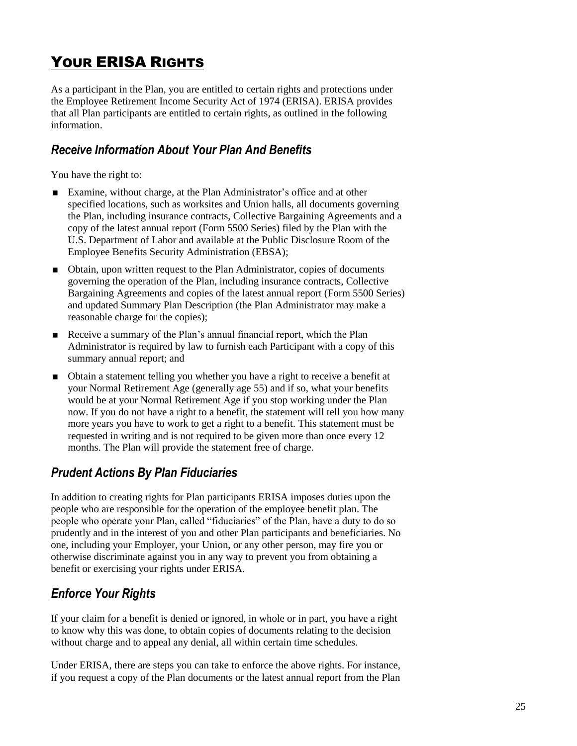# <span id="page-26-0"></span>YOUR ERISA RIGHTS

As a participant in the Plan, you are entitled to certain rights and protections under the Employee Retirement Income Security Act of 1974 (ERISA). ERISA provides that all Plan participants are entitled to certain rights, as outlined in the following information.

## <span id="page-26-1"></span>*Receive Information About Your Plan And Benefits*

You have the right to:

- Examine, without charge, at the Plan Administrator's office and at other specified locations, such as worksites and Union halls, all documents governing the Plan, including insurance contracts, Collective Bargaining Agreements and a copy of the latest annual report (Form 5500 Series) filed by the Plan with the U.S. Department of Labor and available at the Public Disclosure Room of the Employee Benefits Security Administration (EBSA);
- Obtain, upon written request to the Plan Administrator, copies of documents governing the operation of the Plan, including insurance contracts, Collective Bargaining Agreements and copies of the latest annual report (Form 5500 Series) and updated Summary Plan Description (the Plan Administrator may make a reasonable charge for the copies);
- Receive a summary of the Plan's annual financial report, which the Plan Administrator is required by law to furnish each Participant with a copy of this summary annual report; and
- Obtain a statement telling you whether you have a right to receive a benefit at your Normal Retirement Age (generally age 55) and if so, what your benefits would be at your Normal Retirement Age if you stop working under the Plan now. If you do not have a right to a benefit, the statement will tell you how many more years you have to work to get a right to a benefit. This statement must be requested in writing and is not required to be given more than once every 12 months. The Plan will provide the statement free of charge.

# <span id="page-26-2"></span>*Prudent Actions By Plan Fiduciaries*

In addition to creating rights for Plan participants ERISA imposes duties upon the people who are responsible for the operation of the employee benefit plan. The people who operate your Plan, called "fiduciaries" of the Plan, have a duty to do so prudently and in the interest of you and other Plan participants and beneficiaries. No one, including your Employer, your Union, or any other person, may fire you or otherwise discriminate against you in any way to prevent you from obtaining a benefit or exercising your rights under ERISA.

# <span id="page-26-3"></span>*Enforce Your Rights*

If your claim for a benefit is denied or ignored, in whole or in part, you have a right to know why this was done, to obtain copies of documents relating to the decision without charge and to appeal any denial, all within certain time schedules.

Under ERISA, there are steps you can take to enforce the above rights. For instance, if you request a copy of the Plan documents or the latest annual report from the Plan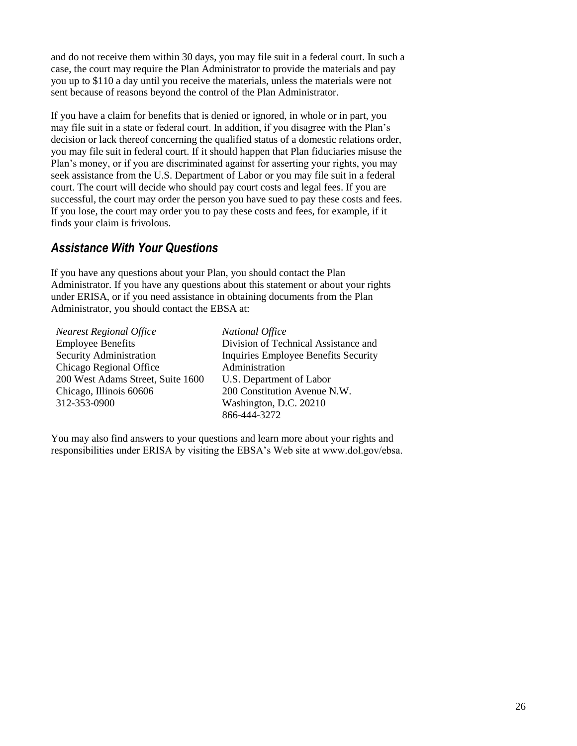and do not receive them within 30 days, you may file suit in a federal court. In such a case, the court may require the Plan Administrator to provide the materials and pay you up to \$110 a day until you receive the materials, unless the materials were not sent because of reasons beyond the control of the Plan Administrator.

If you have a claim for benefits that is denied or ignored, in whole or in part, you may file suit in a state or federal court. In addition, if you disagree with the Plan's decision or lack thereof concerning the qualified status of a domestic relations order, you may file suit in federal court. If it should happen that Plan fiduciaries misuse the Plan's money, or if you are discriminated against for asserting your rights, you may seek assistance from the U.S. Department of Labor or you may file suit in a federal court. The court will decide who should pay court costs and legal fees. If you are successful, the court may order the person you have sued to pay these costs and fees. If you lose, the court may order you to pay these costs and fees, for example, if it finds your claim is frivolous.

## <span id="page-27-0"></span>*Assistance With Your Questions*

If you have any questions about your Plan, you should contact the Plan Administrator. If you have any questions about this statement or about your rights under ERISA, or if you need assistance in obtaining documents from the Plan Administrator, you should contact the EBSA at:

*Nearest Regional Office* Employee Benefits Security Administration Chicago Regional Office 200 West Adams Street, Suite 1600 Chicago, Illinois 60606 312-353-0900

*National Office* Division of Technical Assistance and Inquiries Employee Benefits Security Administration U.S. Department of Labor 200 Constitution Avenue N.W. Washington, D.C. 20210 866-444-3272

You may also find answers to your questions and learn more about your rights and responsibilities under ERISA by visiting the EBSA's Web site at www.dol.gov/ebsa.